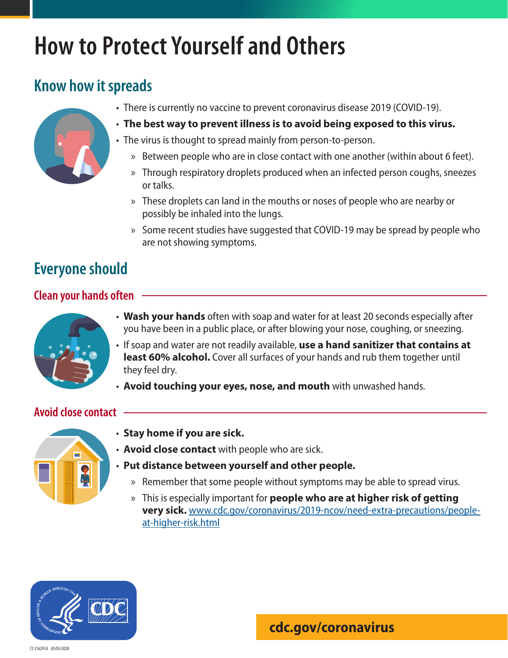# **How to Protect Yourself and Others**

## **Know how it spreads**



- There is currently no vaccine to prevent coronavirus disease 2019 (COVID-19).
- **The best way to prevent illness is to avoid being exposed to this virus.**
- The virus is thought to spread mainly from person-to-person.
	- » Between people who are in close contact with one another (within about 6 feet).
	- » Through respiratory droplets produced when an infected person coughs, sneezes or talks.
	- » These droplets can land in the mouths or noses of people who are nearby or possibly be inhaled into the lungs.
	- » Some recent studies have suggested that COVID-19 may be spread by people who are not showing symptoms.

## **Everyone should**

### **Clean your hands often**



- **Wash your hands** often with soap and water for at least 20 seconds especially after you have been in a public place, or after blowing your nose, coughing, or sneezing.
- If soap and water are not readily available, **use a hand sanitizer that contains at least 60% alcohol.** Cover all surfaces of your hands and rub them together until they feel dry.
- **Avoid touching your eyes, nose, and mouth** with unwashed hands.

### **Avoid close contact**



- **Stay home if you are sick.**
- **Avoid close contact** with people who are sick.
- **Put distance between yourself and other people.**
	- » Remember that some people without symptoms may be able to spread virus.
	- » This is especially important for **people who are at higher risk of getting very sick.** www.cdc.gov/coronavirus/2019-ncov/need-extra-precautions/peopleat-higher-risk.html